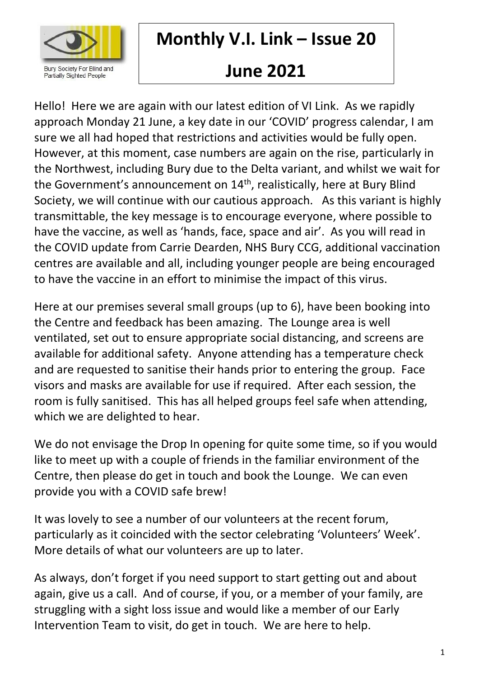

# **Monthly V.I. Link – Issue 20**

# **June 2021**

Hello! Here we are again with our latest edition of VI Link. As we rapidly approach Monday 21 June, a key date in our 'COVID' progress calendar, I am sure we all had hoped that restrictions and activities would be fully open. However, at this moment, case numbers are again on the rise, particularly in the Northwest, including Bury due to the Delta variant, and whilst we wait for the Government's announcement on 14<sup>th</sup>, realistically, here at Bury Blind Society, we will continue with our cautious approach. As this variant is highly transmittable, the key message is to encourage everyone, where possible to have the vaccine, as well as 'hands, face, space and air'. As you will read in the COVID update from Carrie Dearden, NHS Bury CCG, additional vaccination centres are available and all, including younger people are being encouraged to have the vaccine in an effort to minimise the impact of this virus.

Here at our premises several small groups (up to 6), have been booking into the Centre and feedback has been amazing. The Lounge area is well ventilated, set out to ensure appropriate social distancing, and screens are available for additional safety. Anyone attending has a temperature check and are requested to sanitise their hands prior to entering the group. Face visors and masks are available for use if required. After each session, the room is fully sanitised. This has all helped groups feel safe when attending, which we are delighted to hear.

We do not envisage the Drop In opening for quite some time, so if you would like to meet up with a couple of friends in the familiar environment of the Centre, then please do get in touch and book the Lounge. We can even provide you with a COVID safe brew!

It was lovely to see a number of our volunteers at the recent forum, particularly as it coincided with the sector celebrating 'Volunteers' Week'. More details of what our volunteers are up to later.

As always, don't forget if you need support to start getting out and about again, give us a call. And of course, if you, or a member of your family, are struggling with a sight loss issue and would like a member of our Early Intervention Team to visit, do get in touch. We are here to help.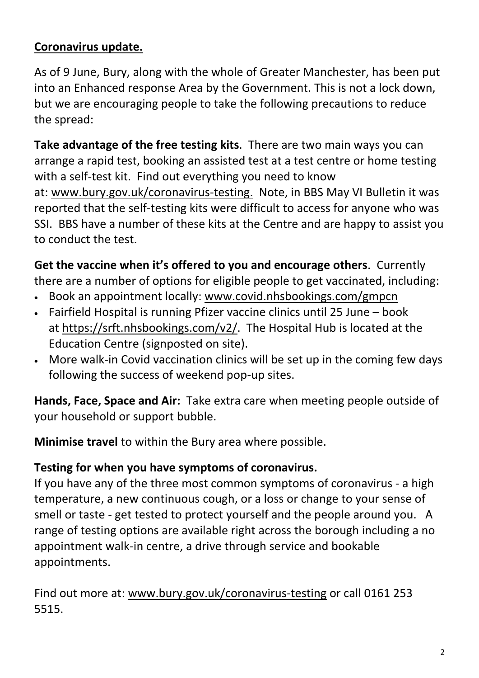#### **Coronavirus update.**

As of 9 June, Bury, along with the whole of Greater Manchester, has been put into an Enhanced response Area by the Government. This is not a lock down, but we are encouraging people to take the following precautions to reduce the spread:

**Take advantage of the free testing kits**. There are two main ways you can arrange a rapid test, booking an assisted test at a test centre or home testing with a self-test kit. Find out everything you need to know at: [www.bury.gov.uk/coronavirus-testing.](http://www.bury.gov.uk/coronavirus-testing) Note, in BBS May VI Bulletin it was reported that the self-testing kits were difficult to access for anyone who was SSI. BBS have a number of these kits at the Centre and are happy to assist you to conduct the test.

**Get the vaccine when it's offered to you and encourage others**. Currently

there are a number of options for eligible people to get vaccinated, including:

- Book an appointment locally: [www.covid.nhsbookings.com/gmpcn](http://www.covid.nhsbookings.com/gmpcn)
- Fairfield Hospital is running Pfizer vaccine clinics until 25 June book at [https://srft.nhsbookings.com/v2/.](https://srft.nhsbookings.com/v2/) The Hospital Hub is located at the Education Centre (signposted on site).
- More walk-in Covid vaccination clinics will be set up in the coming few days following the success of weekend pop-up sites.

**Hands, Face, Space and Air:** Take extra care when meeting people outside of your household or support bubble.

**Minimise travel** to within the Bury area where possible.

#### **Testing for when you have symptoms of coronavirus.**

If you have any of the three most common symptoms of coronavirus - a high temperature, a new continuous cough, or a loss or change to your sense of smell or taste - get tested to protect yourself and the people around you. A range of testing options are available right across the borough including a no appointment walk-in centre, a drive through service and bookable appointments.

Find out more at: [www.bury.gov.uk/coronavirus-testing](http://www.bury.gov.uk/coronavirus-testing) or call 0161 253 5515.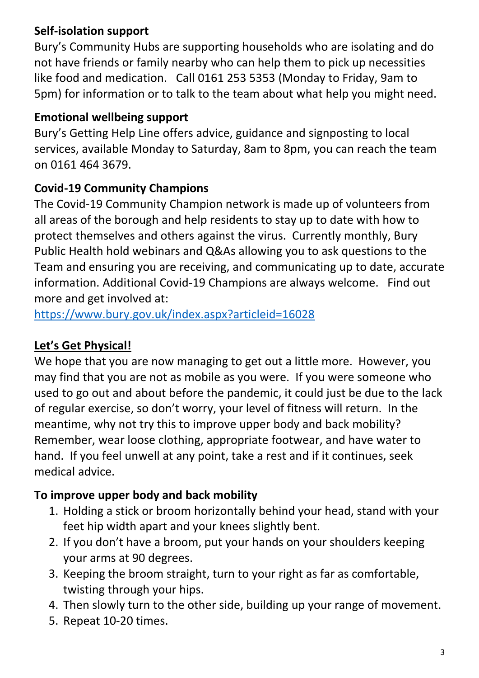## **Self-isolation support**

Bury's Community Hubs are supporting households who are isolating and do not have friends or family nearby who can help them to pick up necessities like food and medication. Call 0161 253 5353 (Monday to Friday, 9am to 5pm) for information or to talk to the team about what help you might need.

#### **Emotional wellbeing support**

Bury's Getting Help Line offers advice, guidance and signposting to local services, available Monday to Saturday, 8am to 8pm, you can reach the team on 0161 464 3679.

### **Covid-19 Community Champions**

The Covid-19 Community Champion network is made up of volunteers from all areas of the borough and help residents to stay up to date with how to protect themselves and others against the virus. Currently monthly, Bury Public Health hold webinars and Q&As allowing you to ask questions to the Team and ensuring you are receiving, and communicating up to date, accurate information. Additional Covid-19 Champions are always welcome. Find out more and get involved at:

<https://www.bury.gov.uk/index.aspx?articleid=16028>

## **Let's Get Physical!**

We hope that you are now managing to get out a little more. However, you may find that you are not as mobile as you were. If you were someone who used to go out and about before the pandemic, it could just be due to the lack of regular exercise, so don't worry, your level of fitness will return. In the meantime, why not try this to improve upper body and back mobility? Remember, wear loose clothing, appropriate footwear, and have water to hand. If you feel unwell at any point, take a rest and if it continues, seek medical advice.

### **To improve upper body and back mobility**

- 1. Holding a stick or broom horizontally behind your head, stand with your feet hip width apart and your knees slightly bent.
- 2. If you don't have a broom, put your hands on your shoulders keeping your arms at 90 degrees.
- 3. Keeping the broom straight, turn to your right as far as comfortable, twisting through your hips.
- 4. Then slowly turn to the other side, building up your range of movement.
- 5. Repeat 10-20 times.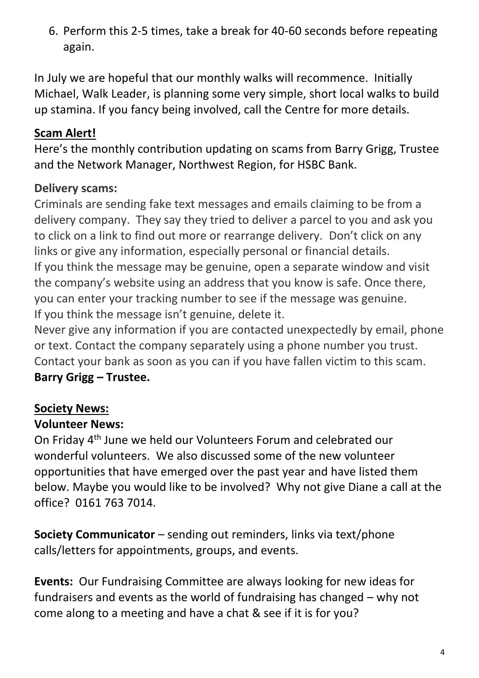6. Perform this 2-5 times, take a break for 40-60 seconds before repeating again.

In July we are hopeful that our monthly walks will recommence. Initially Michael, Walk Leader, is planning some very simple, short local walks to build up stamina. If you fancy being involved, call the Centre for more details.

### **Scam Alert!**

Here's the monthly contribution updating on scams from Barry Grigg, Trustee and the Network Manager, Northwest Region, for HSBC Bank.

### **Delivery scams:**

Criminals are sending fake text messages and emails claiming to be from a delivery company. They say they tried to deliver a parcel to you and ask you to click on a link to find out more or rearrange delivery. Don't click on any links or give any information, especially personal or financial details. If you think the message may be genuine, open a separate window and visit the company's website using an address that you know is safe. Once there, you can enter your tracking number to see if the message was genuine. If you think the message isn't genuine, delete it.

Never give any information if you are contacted unexpectedly by email, phone or text. Contact the company separately using a phone number you trust. Contact your bank as soon as you can if you have fallen victim to this scam. **Barry Grigg – Trustee.**

### **Society News:**

### **Volunteer News:**

On Friday 4th June we held our Volunteers Forum and celebrated our wonderful volunteers. We also discussed some of the new volunteer opportunities that have emerged over the past year and have listed them below. Maybe you would like to be involved? Why not give Diane a call at the office? 0161 763 7014.

**Society Communicator** – sending out reminders, links via text/phone calls/letters for appointments, groups, and events.

**Events:** Our Fundraising Committee are always looking for new ideas for fundraisers and events as the world of fundraising has changed – why not come along to a meeting and have a chat & see if it is for you?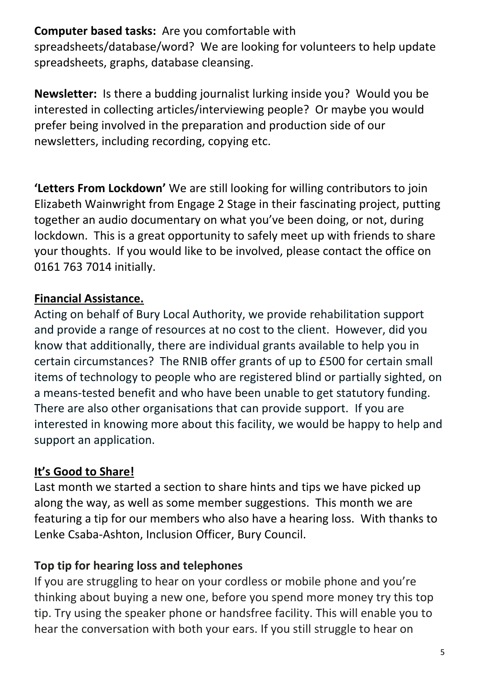**Computer based tasks:** Are you comfortable with

spreadsheets/database/word? We are looking for volunteers to help update spreadsheets, graphs, database cleansing.

**Newsletter:** Is there a budding journalist lurking inside you? Would you be interested in collecting articles/interviewing people? Or maybe you would prefer being involved in the preparation and production side of our newsletters, including recording, copying etc.

**'Letters From Lockdown'** We are still looking for willing contributors to join Elizabeth Wainwright from Engage 2 Stage in their fascinating project, putting together an audio documentary on what you've been doing, or not, during lockdown. This is a great opportunity to safely meet up with friends to share your thoughts. If you would like to be involved, please contact the office on 0161 763 7014 initially.

### **Financial Assistance.**

Acting on behalf of Bury Local Authority, we provide rehabilitation support and provide a range of resources at no cost to the client. However, did you know that additionally, there are individual grants available to help you in certain circumstances? The RNIB offer grants of up to £500 for certain small items of technology to people who are registered blind or partially sighted, on a means-tested benefit and who have been unable to get statutory funding. There are also other organisations that can provide support. If you are interested in knowing more about this facility, we would be happy to help and support an application.

### **It's Good to Share!**

Last month we started a section to share hints and tips we have picked up along the way, as well as some member suggestions. This month we are featuring a tip for our members who also have a hearing loss. With thanks to Lenke Csaba-Ashton, Inclusion Officer, Bury Council.

### **Top tip for hearing loss and telephones**

If you are struggling to hear on your cordless or mobile phone and you're thinking about buying a new one, before you spend more money try this top tip. Try using the speaker phone or handsfree facility. This will enable you to hear the conversation with both your ears. If you still struggle to hear on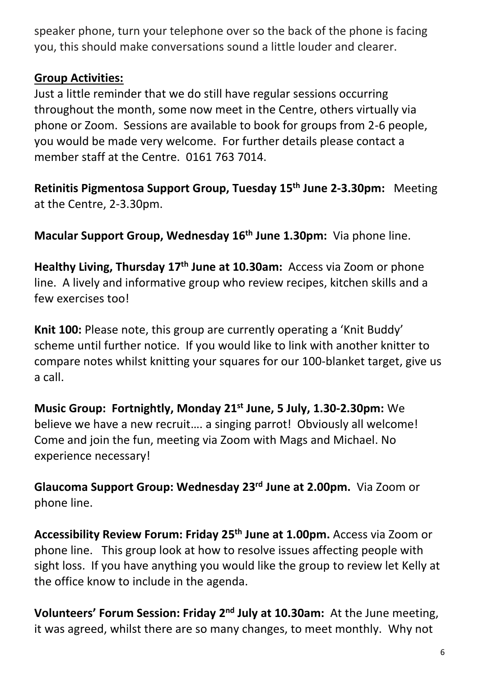speaker phone, turn your telephone over so the back of the phone is facing you, this should make conversations sound a little louder and clearer.

#### **Group Activities:**

Just a little reminder that we do still have regular sessions occurring throughout the month, some now meet in the Centre, others virtually via phone or Zoom. Sessions are available to book for groups from 2-6 people, you would be made very welcome. For further details please contact a member staff at the Centre. 0161 763 7014.

**Retinitis Pigmentosa Support Group, Tuesday 15th June 2-3.30pm:** Meeting at the Centre, 2-3.30pm.

**Macular Support Group, Wednesday 16 th June 1.30pm:** Via phone line.

**Healthy Living, Thursday 17th June at 10.30am:** Access via Zoom or phone line. A lively and informative group who review recipes, kitchen skills and a few exercises too!

**Knit 100:** Please note, this group are currently operating a 'Knit Buddy' scheme until further notice. If you would like to link with another knitter to compare notes whilst knitting your squares for our 100-blanket target, give us a call.

**Music Group: Fortnightly, Monday 21 st June, 5 July, 1.30-2.30pm:** We believe we have a new recruit…. a singing parrot! Obviously all welcome! Come and join the fun, meeting via Zoom with Mags and Michael. No experience necessary!

**Glaucoma Support Group: Wednesday 23 rd June at 2.00pm.** Via Zoom or phone line.

**Accessibility Review Forum: Friday 25 th June at 1.00pm.** Access via Zoom or phone line. This group look at how to resolve issues affecting people with sight loss. If you have anything you would like the group to review let Kelly at the office know to include in the agenda.

**Volunteers' Forum Session: Friday 2<sup>nd</sup> July at 10.30am:** At the June meeting, it was agreed, whilst there are so many changes, to meet monthly. Why not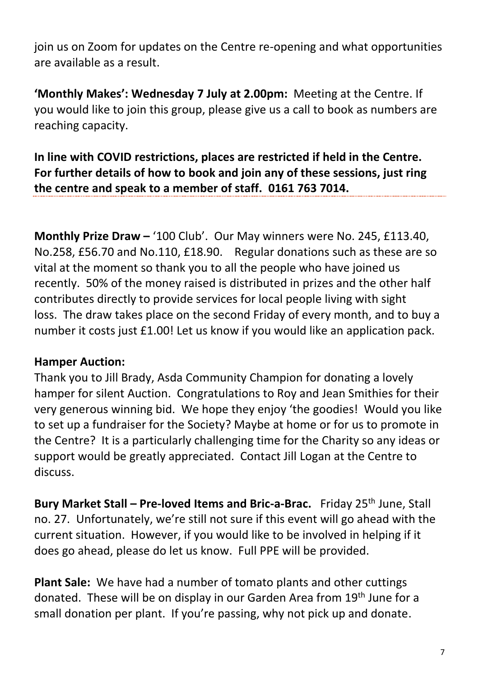join us on Zoom for updates on the Centre re-opening and what opportunities are available as a result.

**'Monthly Makes': Wednesday 7 July at 2.00pm:** Meeting at the Centre. If you would like to join this group, please give us a call to book as numbers are reaching capacity.

**In line with COVID restrictions, places are restricted if held in the Centre. For further details of how to book and join any of these sessions, just ring the centre and speak to a member of staff. 0161 763 7014.**

**Monthly Prize Draw –** '100 Club'. Our May winners were No. 245, £113.40, No.258, £56.70 and No.110, £18.90. Regular donations such as these are so vital at the moment so thank you to all the people who have joined us recently. 50% of the money raised is distributed in prizes and the other half contributes directly to provide services for local people living with sight loss. The draw takes place on the second Friday of every month, and to buy a number it costs just £1.00! Let us know if you would like an application pack.

#### **Hamper Auction:**

Thank you to Jill Brady, Asda Community Champion for donating a lovely hamper for silent Auction. Congratulations to Roy and Jean Smithies for their very generous winning bid. We hope they enjoy 'the goodies! Would you like to set up a fundraiser for the Society? Maybe at home or for us to promote in the Centre? It is a particularly challenging time for the Charity so any ideas or support would be greatly appreciated. Contact Jill Logan at the Centre to discuss.

**Bury Market Stall – Pre-loved Items and Bric-a-Brac.** Friday 25<sup>th</sup> June, Stall no. 27. Unfortunately, we're still not sure if this event will go ahead with the current situation. However, if you would like to be involved in helping if it does go ahead, please do let us know. Full PPE will be provided.

**Plant Sale:** We have had a number of tomato plants and other cuttings donated. These will be on display in our Garden Area from 19<sup>th</sup> June for a small donation per plant. If you're passing, why not pick up and donate.